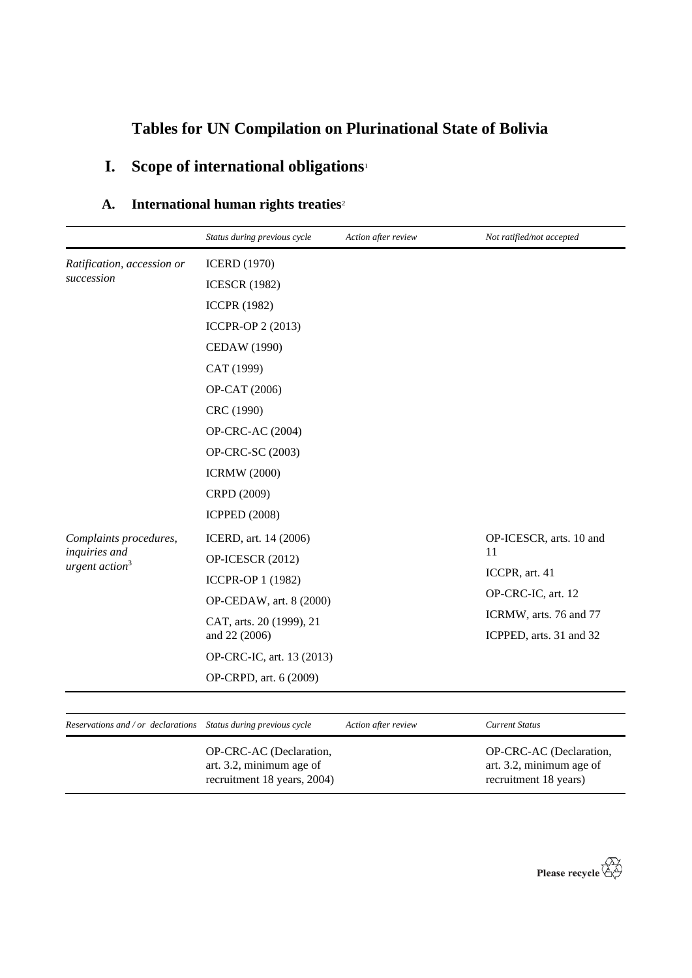# **Tables for UN Compilation on Plurinational State of Bolivia**

# **I. Scope of international obligations**<sup>1</sup>

| A. | International human rights treaties <sup>2</sup> |  |  |  |
|----|--------------------------------------------------|--|--|--|
|----|--------------------------------------------------|--|--|--|

|                                                                 | Status during previous cycle                                                       | Action after review | Not ratified/not accepted                                                    |
|-----------------------------------------------------------------|------------------------------------------------------------------------------------|---------------------|------------------------------------------------------------------------------|
| Ratification, accession or                                      | <b>ICERD</b> (1970)                                                                |                     |                                                                              |
| succession                                                      | <b>ICESCR (1982)</b>                                                               |                     |                                                                              |
|                                                                 | <b>ICCPR (1982)</b>                                                                |                     |                                                                              |
|                                                                 | ICCPR-OP 2 (2013)                                                                  |                     |                                                                              |
|                                                                 | <b>CEDAW</b> (1990)                                                                |                     |                                                                              |
|                                                                 | CAT (1999)                                                                         |                     |                                                                              |
|                                                                 | OP-CAT (2006)                                                                      |                     |                                                                              |
|                                                                 | CRC (1990)                                                                         |                     |                                                                              |
|                                                                 | <b>OP-CRC-AC (2004)</b>                                                            |                     |                                                                              |
|                                                                 | OP-CRC-SC (2003)                                                                   |                     |                                                                              |
|                                                                 | <b>ICRMW</b> (2000)                                                                |                     |                                                                              |
|                                                                 | CRPD (2009)                                                                        |                     |                                                                              |
|                                                                 | <b>ICPPED (2008)</b>                                                               |                     |                                                                              |
| Complaints procedures,                                          | ICERD, art. 14 (2006)                                                              |                     | OP-ICESCR, arts. 10 and                                                      |
| inquiries and<br>urgent action <sup>3</sup>                     | OP-ICESCR (2012)                                                                   |                     | 11                                                                           |
|                                                                 | ICCPR-OP 1 (1982)                                                                  |                     | ICCPR, art. 41                                                               |
|                                                                 | OP-CEDAW, art. 8 (2000)                                                            |                     | OP-CRC-IC, art. 12                                                           |
|                                                                 | CAT, arts. 20 (1999), 21<br>and 22 (2006)                                          |                     | ICRMW, arts. 76 and 77<br>ICPPED, arts. 31 and 32                            |
|                                                                 | OP-CRC-IC, art. 13 (2013)                                                          |                     |                                                                              |
|                                                                 | OP-CRPD, art. 6 (2009)                                                             |                     |                                                                              |
|                                                                 |                                                                                    |                     |                                                                              |
| Reservations and / or declarations Status during previous cycle |                                                                                    | Action after review | <b>Current Status</b>                                                        |
|                                                                 | OP-CRC-AC (Declaration,<br>art. 3.2, minimum age of<br>recruitment 18 years, 2004) |                     | OP-CRC-AC (Declaration,<br>art. 3.2, minimum age of<br>recruitment 18 years) |

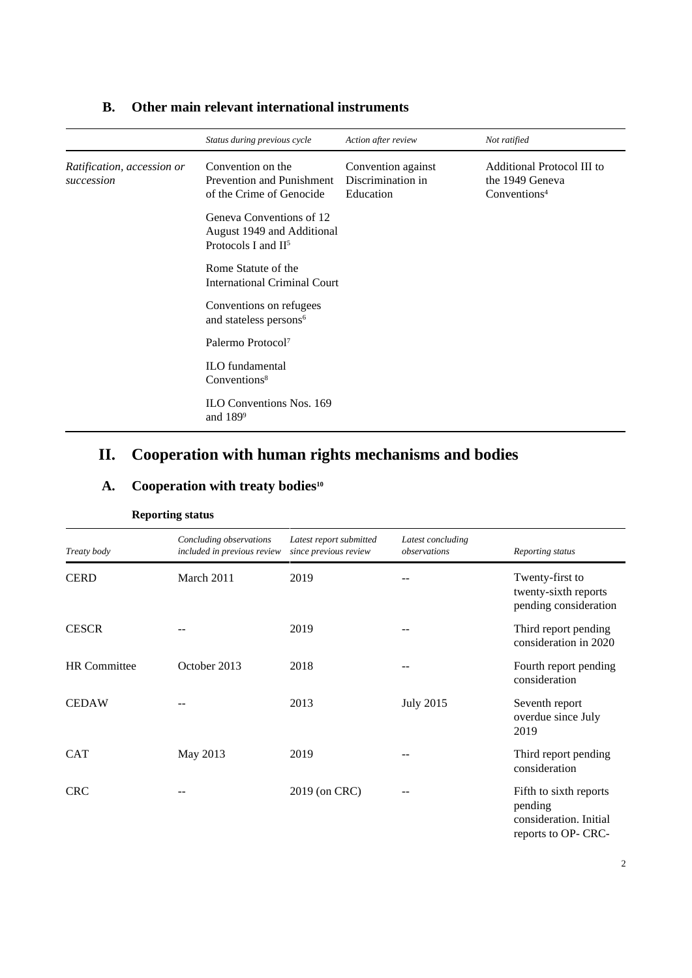|                                          | Status during previous cycle                                                              | Action after review                                  | Not ratified                                                              |
|------------------------------------------|-------------------------------------------------------------------------------------------|------------------------------------------------------|---------------------------------------------------------------------------|
| Ratification, accession or<br>succession | Convention on the<br>Prevention and Punishment<br>of the Crime of Genocide                | Convention against<br>Discrimination in<br>Education | Additional Protocol III to<br>the 1949 Geneva<br>Conventions <sup>4</sup> |
|                                          | Geneva Conventions of 12<br>August 1949 and Additional<br>Protocols I and II <sup>5</sup> |                                                      |                                                                           |
|                                          | Rome Statute of the<br><b>International Criminal Court</b>                                |                                                      |                                                                           |
|                                          | Conventions on refugees<br>and stateless persons <sup>6</sup>                             |                                                      |                                                                           |
|                                          | Palermo Protocol <sup>7</sup>                                                             |                                                      |                                                                           |
|                                          | <b>ILO</b> fundamental<br>Conventions <sup>8</sup>                                        |                                                      |                                                                           |
|                                          | <b>ILO Conventions Nos. 169</b><br>and $189^9$                                            |                                                      |                                                                           |

#### **B. Other main relevant international instruments**

# **II. Cooperation with human rights mechanisms and bodies**

|                     | <b>Reporting status</b>                                |                                                  |                                   |                                                                                    |
|---------------------|--------------------------------------------------------|--------------------------------------------------|-----------------------------------|------------------------------------------------------------------------------------|
| Treaty body         | Concluding observations<br>included in previous review | Latest report submitted<br>since previous review | Latest concluding<br>observations | Reporting status                                                                   |
| <b>CERD</b>         | March 2011                                             | 2019                                             |                                   | Twenty-first to<br>twenty-sixth reports<br>pending consideration                   |
| <b>CESCR</b>        |                                                        | 2019                                             |                                   | Third report pending<br>consideration in 2020                                      |
| <b>HR</b> Committee | October 2013                                           | 2018                                             |                                   | Fourth report pending<br>consideration                                             |
| <b>CEDAW</b>        |                                                        | 2013                                             | <b>July 2015</b>                  | Seventh report<br>overdue since July<br>2019                                       |
| <b>CAT</b>          | May 2013                                               | 2019                                             |                                   | Third report pending<br>consideration                                              |
| <b>CRC</b>          |                                                        | 2019 (on CRC)                                    | --                                | Fifth to sixth reports<br>pending<br>consideration. Initial<br>reports to OP- CRC- |

### **A. Cooperation with treaty bodies<sup>10</sup>**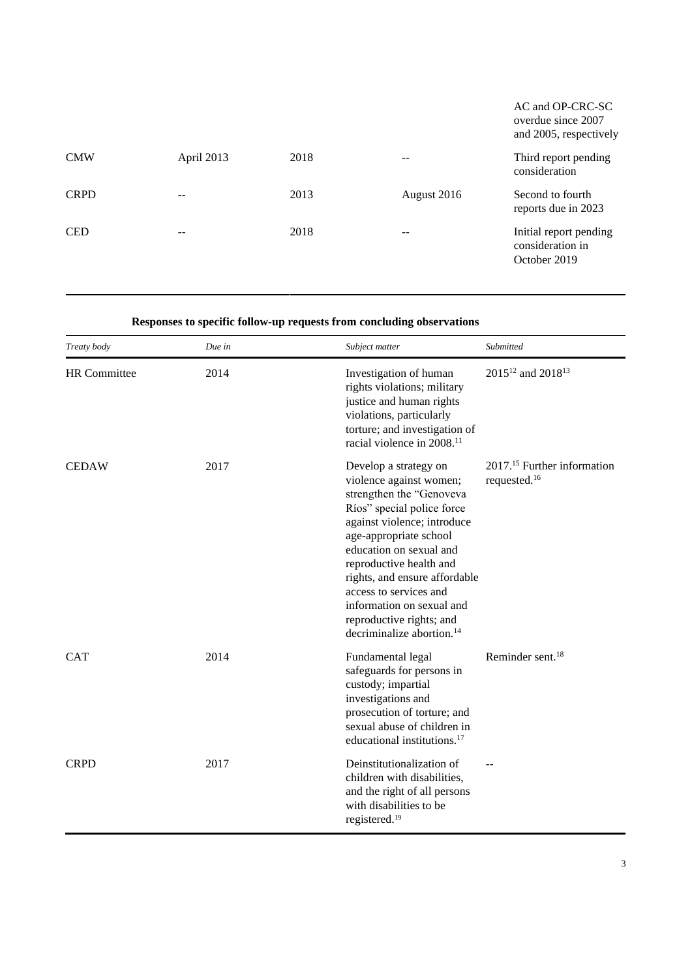|             |            |      |             | AC and OP-CRC-SC<br>overdue since 2007<br>and 2005, respectively |
|-------------|------------|------|-------------|------------------------------------------------------------------|
| <b>CMW</b>  | April 2013 | 2018 |             | Third report pending<br>consideration                            |
| <b>CRPD</b> |            | 2013 | August 2016 | Second to fourth<br>reports due in 2023                          |
| <b>CED</b>  | --         | 2018 | --          | Initial report pending<br>consideration in<br>October 2019       |

### **Responses to specific follow-up requests from concluding observations**

| Treaty body         | Due in | Subject matter                                                                                                                                                                                                                                                                                                                                                                         | Submitted                                                           |
|---------------------|--------|----------------------------------------------------------------------------------------------------------------------------------------------------------------------------------------------------------------------------------------------------------------------------------------------------------------------------------------------------------------------------------------|---------------------------------------------------------------------|
| <b>HR</b> Committee | 2014   | Investigation of human<br>rights violations; military<br>justice and human rights<br>violations, particularly<br>torture; and investigation of<br>racial violence in 2008. <sup>11</sup>                                                                                                                                                                                               | 2015 <sup>12</sup> and 2018 <sup>13</sup>                           |
| <b>CEDAW</b>        | 2017   | Develop a strategy on<br>violence against women;<br>strengthen the "Genoveva<br>Ríos" special police force<br>against violence; introduce<br>age-appropriate school<br>education on sexual and<br>reproductive health and<br>rights, and ensure affordable<br>access to services and<br>information on sexual and<br>reproductive rights; and<br>decriminalize abortion. <sup>14</sup> | 2017. <sup>15</sup> Further information<br>requested. <sup>16</sup> |
| <b>CAT</b>          | 2014   | Fundamental legal<br>safeguards for persons in<br>custody; impartial<br>investigations and<br>prosecution of torture; and<br>sexual abuse of children in<br>educational institutions. <sup>17</sup>                                                                                                                                                                                    | Reminder sent. <sup>18</sup>                                        |
| <b>CRPD</b>         | 2017   | Deinstitutionalization of<br>children with disabilities,<br>and the right of all persons<br>with disabilities to be<br>registered. <sup>19</sup>                                                                                                                                                                                                                                       |                                                                     |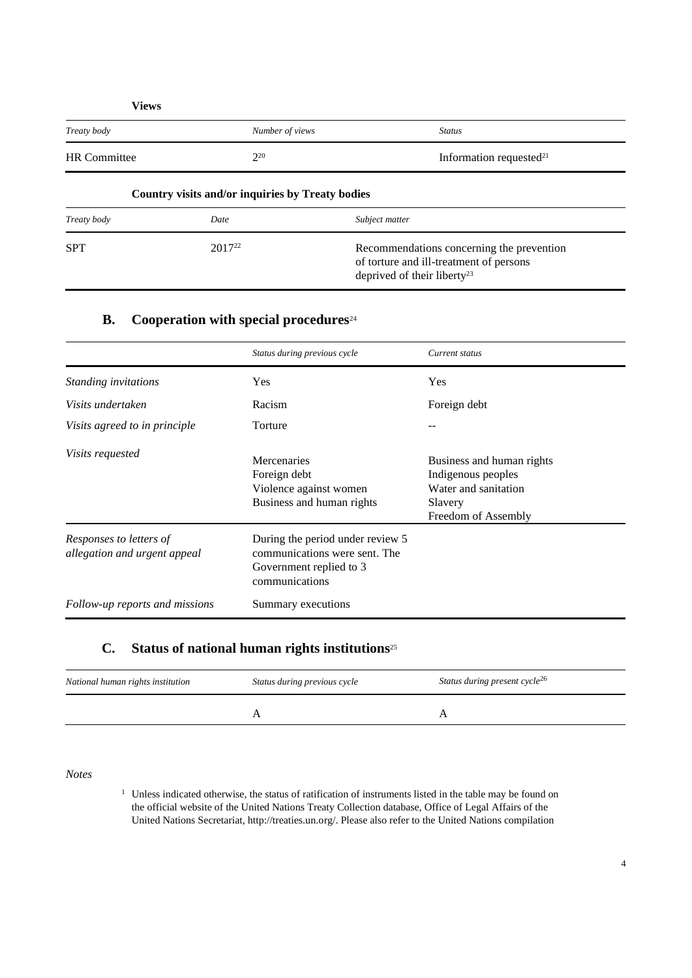| Views               |                                                  |                            |
|---------------------|--------------------------------------------------|----------------------------|
| Treaty body         | Number of views                                  | <b>Status</b>              |
| <b>HR</b> Committee | $2^{20}$                                         | Information requested $21$ |
|                     | Country visits and/or inquiries by Treaty bodies |                            |

| Treaty body | Date               | Subject matter                                                                                                                  |
|-------------|--------------------|---------------------------------------------------------------------------------------------------------------------------------|
| <b>SPT</b>  | 2017 <sup>22</sup> | Recommendations concerning the prevention<br>of torture and ill-treatment of persons<br>deprived of their liberty <sup>23</sup> |

### **B. Cooperation with special procedures**<sup>24</sup>

|                                                         | Status during previous cycle                                                                                   | Current status                                                                                            |
|---------------------------------------------------------|----------------------------------------------------------------------------------------------------------------|-----------------------------------------------------------------------------------------------------------|
| Standing invitations                                    | Yes                                                                                                            | Yes                                                                                                       |
| Visits undertaken                                       | Racism                                                                                                         | Foreign debt                                                                                              |
| Visits agreed to in principle                           | Torture                                                                                                        |                                                                                                           |
| <i>Visits requested</i>                                 | Mercenaries<br>Foreign debt<br>Violence against women<br>Business and human rights                             | Business and human rights<br>Indigenous peoples<br>Water and sanitation<br>Slavery<br>Freedom of Assembly |
| Responses to letters of<br>allegation and urgent appeal | During the period under review 5<br>communications were sent. The<br>Government replied to 3<br>communications |                                                                                                           |
| Follow-up reports and missions                          | Summary executions                                                                                             |                                                                                                           |

### **C. Status of national human rights institutions**<sup>25</sup>

| National human rights institution | Status during previous cycle | Status during present cycle <sup>26</sup> |
|-----------------------------------|------------------------------|-------------------------------------------|
|                                   |                              |                                           |

*Notes*

<sup>1</sup> Unless indicated otherwise, the status of ratification of instruments listed in the table may be found on the official website of the United Nations Treaty Collection database, Office of Legal Affairs of the United Nations Secretariat, http://treaties.un.org/. Please also refer to the United Nations compilation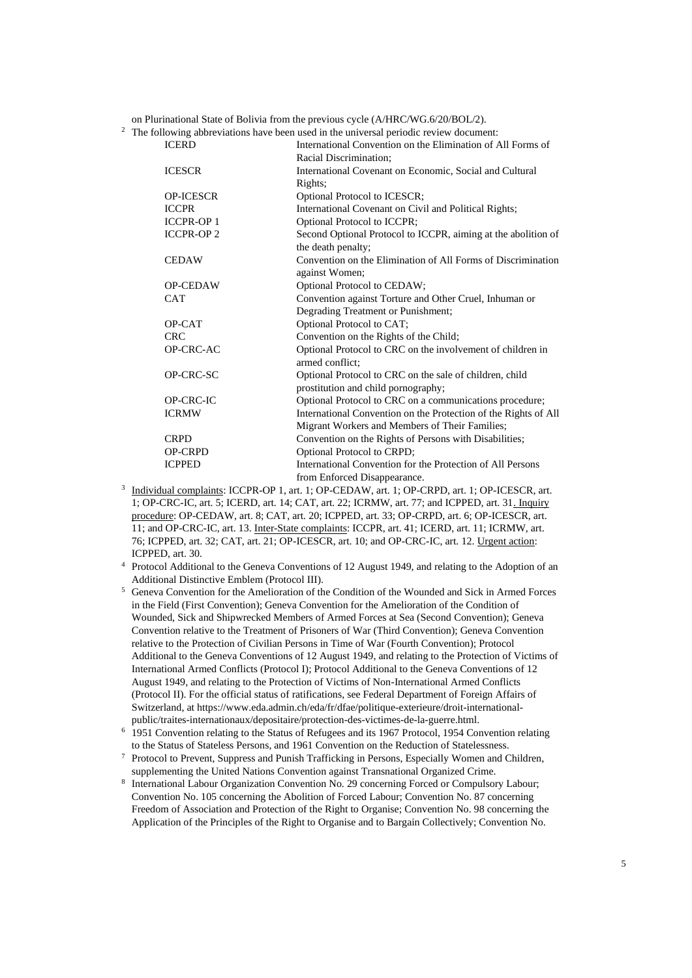on Plurinational State of Bolivia from the previous cycle (A/HRC/WG.6/20/BOL/2).<br><sup>2</sup> The following abbreviations have been used in the universal periodic review document

|                   | The following abbreviations have been used in the universal periodic review document: |
|-------------------|---------------------------------------------------------------------------------------|
| <b>ICERD</b>      | International Convention on the Elimination of All Forms of                           |
|                   | Racial Discrimination;                                                                |
| <b>ICESCR</b>     | International Covenant on Economic, Social and Cultural                               |
|                   | Rights;                                                                               |
| <b>OP-ICESCR</b>  | Optional Protocol to ICESCR;                                                          |
| <b>ICCPR</b>      | International Covenant on Civil and Political Rights;                                 |
| <b>ICCPR-OP 1</b> | Optional Protocol to ICCPR;                                                           |
| <b>ICCPR-OP 2</b> | Second Optional Protocol to ICCPR, aiming at the abolition of                         |
|                   | the death penalty;                                                                    |
| <b>CEDAW</b>      | Convention on the Elimination of All Forms of Discrimination                          |
|                   | against Women;                                                                        |
| <b>OP-CEDAW</b>   | Optional Protocol to CEDAW;                                                           |
| <b>CAT</b>        | Convention against Torture and Other Cruel, Inhuman or                                |
|                   | Degrading Treatment or Punishment;                                                    |
| OP-CAT            | Optional Protocol to CAT;                                                             |
| <b>CRC</b>        | Convention on the Rights of the Child;                                                |
| OP-CRC-AC         | Optional Protocol to CRC on the involvement of children in                            |
|                   | armed conflict:                                                                       |
| OP-CRC-SC         | Optional Protocol to CRC on the sale of children, child                               |
|                   | prostitution and child pornography;                                                   |
| OP-CRC-IC         | Optional Protocol to CRC on a communications procedure;                               |
| <b>ICRMW</b>      | International Convention on the Protection of the Rights of All                       |
|                   | Migrant Workers and Members of Their Families;                                        |
| <b>CRPD</b>       | Convention on the Rights of Persons with Disabilities;                                |
| <b>OP-CRPD</b>    | Optional Protocol to CRPD;                                                            |
| <b>ICPPED</b>     | International Convention for the Protection of All Persons                            |
|                   | from Enforced Disappearance.                                                          |

- <sup>3</sup> Individual complaints: ICCPR-OP 1, art. 1; OP-CEDAW, art. 1; OP-CRPD, art. 1; OP-ICESCR, art. 1; OP-CRC-IC, art. 5; ICERD, art. 14; CAT, art. 22; ICRMW, art. 77; and ICPPED, art. 31. Inquiry procedure: OP-CEDAW, art. 8; CAT, art. 20; ICPPED, art. 33; OP-CRPD, art. 6; OP-ICESCR, art. 11; and OP-CRC-IC, art. 13. Inter-State complaints: ICCPR, art. 41; ICERD, art. 11; ICRMW, art. 76; ICPPED, art. 32; CAT, art. 21; OP-ICESCR, art. 10; and OP-CRC-IC, art. 12. Urgent action: ICPPED, art. 30.
- <sup>4</sup> Protocol Additional to the Geneva Conventions of 12 August 1949, and relating to the Adoption of an Additional Distinctive Emblem (Protocol III).
- <sup>5</sup> Geneva Convention for the Amelioration of the Condition of the Wounded and Sick in Armed Forces in the Field (First Convention); Geneva Convention for the Amelioration of the Condition of Wounded, Sick and Shipwrecked Members of Armed Forces at Sea (Second Convention); Geneva Convention relative to the Treatment of Prisoners of War (Third Convention); Geneva Convention relative to the Protection of Civilian Persons in Time of War (Fourth Convention); Protocol Additional to the Geneva Conventions of 12 August 1949, and relating to the Protection of Victims of International Armed Conflicts (Protocol I); Protocol Additional to the Geneva Conventions of 12 August 1949, and relating to the Protection of Victims of Non-International Armed Conflicts (Protocol II). For the official status of ratifications, see Federal Department of Foreign Affairs of Switzerland, a[t https://www.eda.admin.ch/eda/fr/dfae/politique-exterieure/droit-international](https://www.eda.admin.ch/eda/fr/dfae/politique-exterieure/droit-international-public/traites-internationaux/depositaire/protection-des-victimes-de-la-guerre.html)[public/traites-internationaux/depositaire/protection-des-victimes-de-la-guerre.html.](https://www.eda.admin.ch/eda/fr/dfae/politique-exterieure/droit-international-public/traites-internationaux/depositaire/protection-des-victimes-de-la-guerre.html)
- <sup>6</sup> 1951 Convention relating to the Status of Refugees and its 1967 Protocol, 1954 Convention relating to the Status of Stateless Persons, and 1961 Convention on the Reduction of Statelessness.
- <sup>7</sup> Protocol to Prevent, Suppress and Punish Trafficking in Persons, Especially Women and Children, supplementing the United Nations Convention against Transnational Organized Crime.
- 8 International Labour Organization Convention No. 29 concerning Forced or Compulsory Labour; Convention No. 105 concerning the Abolition of Forced Labour; Convention No. 87 concerning Freedom of Association and Protection of the Right to Organise; Convention No. 98 concerning the Application of the Principles of the Right to Organise and to Bargain Collectively; Convention No.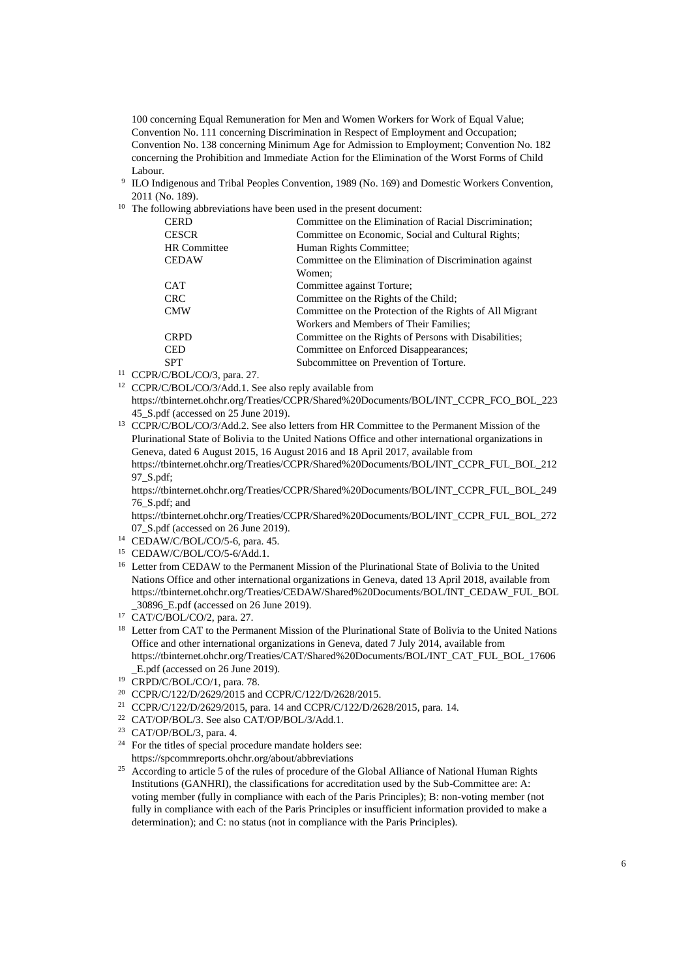100 concerning Equal Remuneration for Men and Women Workers for Work of Equal Value; Convention No. 111 concerning Discrimination in Respect of Employment and Occupation; Convention No. 138 concerning Minimum Age for Admission to Employment; Convention No. 182 concerning the Prohibition and Immediate Action for the Elimination of the Worst Forms of Child Labour.

- 9 ILO Indigenous and Tribal Peoples Convention, 1989 (No. 169) and Domestic Workers Convention, 2011 (No. 189).
- <sup>10</sup> The following abbreviations have been used in the present document:

| <b>CERD</b>         | Committee on the Elimination of Racial Discrimination;   |
|---------------------|----------------------------------------------------------|
| <b>CESCR</b>        | Committee on Economic, Social and Cultural Rights;       |
| <b>HR</b> Committee | Human Rights Committee;                                  |
| <b>CEDAW</b>        | Committee on the Elimination of Discrimination against   |
|                     | Women:                                                   |
| <b>CAT</b>          | Committee against Torture;                               |
| <b>CRC</b>          | Committee on the Rights of the Child;                    |
| <b>CMW</b>          | Committee on the Protection of the Rights of All Migrant |
|                     | Workers and Members of Their Families:                   |
| <b>CRPD</b>         | Committee on the Rights of Persons with Disabilities;    |
| <b>CED</b>          | Committee on Enforced Disappearances;                    |
| <b>SPT</b>          | Subcommittee on Prevention of Torture.                   |

- <sup>11</sup> CCPR/C/BOL/CO/3, para. 27.
- <sup>12</sup> CCPR/C/BOL/CO/3/Add.1. See also reply available from [https://tbinternet.ohchr.org/Treaties/CCPR/Shared%20Documents/BOL/INT\\_CCPR\\_FCO\\_BOL\\_223](https://tbinternet.ohchr.org/Treaties/CCPR/Shared%20Documents/BOL/INT_CCPR_FCO_BOL_22345_S.pdf)
	- [45\\_S.pdf](https://tbinternet.ohchr.org/Treaties/CCPR/Shared%20Documents/BOL/INT_CCPR_FCO_BOL_22345_S.pdf) (accessed on 25 June 2019).

<sup>13</sup> CCPR/C/BOL/CO/3/Add.2. See also letters from HR Committee to the Permanent Mission of the Plurinational State of Bolivia to the United Nations Office and other international organizations in Geneva, dated 6 August 2015, 16 August 2016 and 18 April 2017, available from [https://tbinternet.ohchr.org/Treaties/CCPR/Shared%20Documents/BOL/INT\\_CCPR\\_FUL\\_BOL\\_212](https://tbinternet.ohchr.org/Treaties/CCPR/Shared%20Documents/BOL/INT_CCPR_FUL_BOL_21297_S.pdf)

[97\\_S.pdf;](https://tbinternet.ohchr.org/Treaties/CCPR/Shared%20Documents/BOL/INT_CCPR_FUL_BOL_21297_S.pdf)

[https://tbinternet.ohchr.org/Treaties/CCPR/Shared%20Documents/BOL/INT\\_CCPR\\_FUL\\_BOL\\_249](https://tbinternet.ohchr.org/Treaties/CCPR/Shared%20Documents/BOL/INT_CCPR_FUL_BOL_24976_S.pdf) [76\\_S.pdf;](https://tbinternet.ohchr.org/Treaties/CCPR/Shared%20Documents/BOL/INT_CCPR_FUL_BOL_24976_S.pdf) and

https://tbinternet.ohchr.org/Treaties/CCPR/Shared%20Documents/BOL/INT\_CCPR\_FUL\_BOL\_272 07\_S.pdf (accessed on 26 June 2019).

<sup>14</sup> CEDAW/C/BOL/CO/5-6, para. 45.

- <sup>15</sup> CEDAW/C/BOL/CO/5-6/Add.1.
- <sup>16</sup> Letter from CEDAW to the Permanent Mission of the Plurinational State of Bolivia to the United Nations Office and other international organizations in Geneva, dated 13 April 2018, available from https://tbinternet.ohchr.org/Treaties/CEDAW/Shared%20Documents/BOL/INT\_CEDAW\_FUL\_BOL \_30896\_E.pdf (accessed on 26 June 2019).
- <sup>17</sup> CAT/C/BOL/CO/2, para. 27.
- <sup>18</sup> Letter from CAT to the Permanent Mission of the Plurinational State of Bolivia to the United Nations Office and other international organizations in Geneva, dated 7 July 2014, available from https://tbinternet.ohchr.org/Treaties/CAT/Shared%20Documents/BOL/INT\_CAT\_FUL\_BOL\_17606 \_E.pdf (accessed on 26 June 2019).
- <sup>19</sup> CRPD/C/BOL/CO/1, para. 78.
- <sup>20</sup> CCPR/C/122/D/2629/2015 and CCPR/C/122/D/2628/2015.
- <sup>21</sup> CCPR/C/122/D/2629/2015, para. 14 and CCPR/C/122/D/2628/2015, para. 14.
- <sup>22</sup> CAT/OP/BOL/3. See als[o CAT/OP/BOL/3/Add.1.](https://tbinternet.ohchr.org/_layouts/treatybodyexternal/Download.aspx?symbolno=CAT%2fOP%2fBOL%2f3%2fAdd.1&Lang=en)
- <sup>23</sup> CAT/OP/BOL/3, para. 4.
- <sup>24</sup> For the titles of special procedure mandate holders see: https://spcommreports.ohchr.org/about/abbreviations
- <sup>25</sup> According to article 5 of the rules of procedure of the Global Alliance of National Human Rights Institutions (GANHRI), the classifications for accreditation used by the Sub-Committee are: A: voting member (fully in compliance with each of the Paris Principles); B: non-voting member (not fully in compliance with each of the Paris Principles or insufficient information provided to make a determination); and C: no status (not in compliance with the Paris Principles).